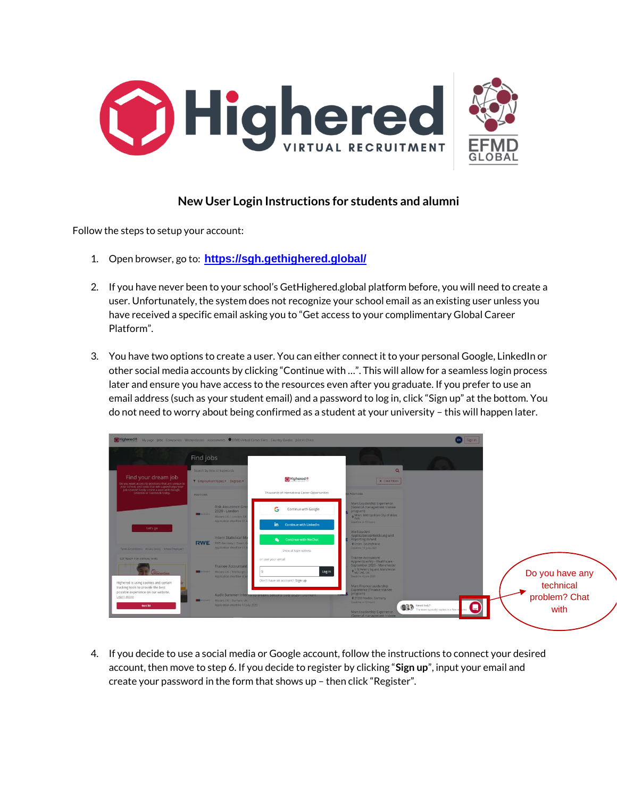

## **New User Login Instructions for students and alumni**

Follow the steps to setup your account:

- 1. Open browser, go to: **<https://sgh.gethighered.global/>**
- 2. If you have never been to your school's GetHighered.global platform before, you will need to create a user. Unfortunately, the system does not recognize your school email as an existing user unless you have received a specific email asking you to "Get access to your complimentary Global Career Platform".
- 3. You have two options to create a user. You can either connect it to your personal Google, LinkedIn or other social media accounts by clicking "Continue with …". This will allow for a seamless login process later and ensure you have access to the resources even after you graduate. If you prefer to use an email address (such as your student email) and a password to log in, click "Sign up" at the bottom. You do not need to worry about being confirmed as a student at your university – this will happen later.



4. If you decide to use a social media or Google account, follow the instructions to connect your desired account, then move to step 6. If you decide to register by clicking "**Sign up**", input your email and create your password in the form that shows up – then click "Register".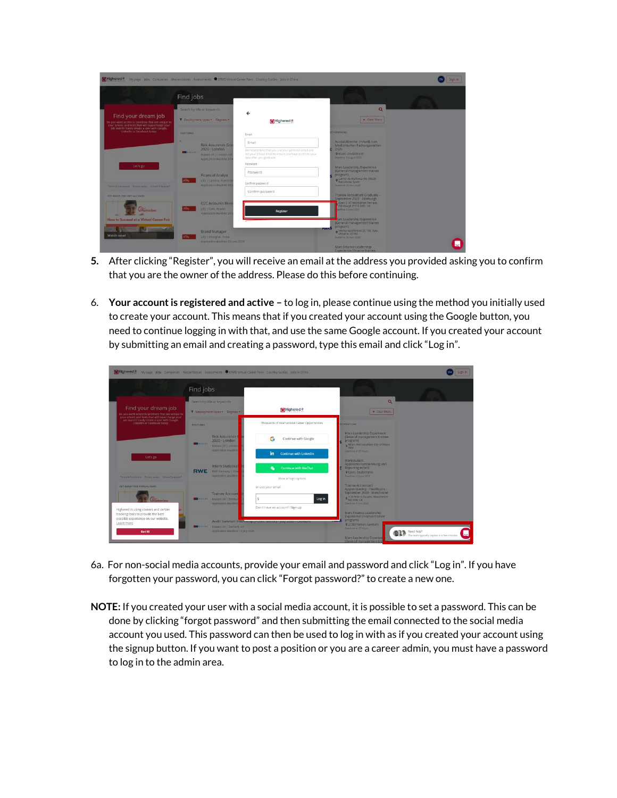| Mighered <sup>®</sup>                                                                                                          | My page Jobs Companies Masterclasses Assessments CEFMD Virtual Career Fairs Country Guides Jobs in China |                                                                                                                                          | Sign in                                                                                                            |  |
|--------------------------------------------------------------------------------------------------------------------------------|----------------------------------------------------------------------------------------------------------|------------------------------------------------------------------------------------------------------------------------------------------|--------------------------------------------------------------------------------------------------------------------|--|
|                                                                                                                                | Find jobs                                                                                                |                                                                                                                                          |                                                                                                                    |  |
|                                                                                                                                | Search by title or keywords                                                                              | $\leftarrow$                                                                                                                             | $\alpha$                                                                                                           |  |
| Find your dream job<br>Do you want access to positions that are unique to<br>your school, and tests that will supercharge your | T Employment types - Degrees -                                                                           | <b>Mighered</b> <sup>®</sup>                                                                                                             | <b>X</b> Clear Filters                                                                                             |  |
| job search? Easily create a user with Google,<br>Linkedin or Facebook today.                                                   | <b>POSITIONS</b>                                                                                         | Email                                                                                                                                    | <b>DI POSITIONS</b>                                                                                                |  |
|                                                                                                                                | <b>Risk Assurance Gray</b>                                                                               | Email                                                                                                                                    | Auszubildender (m/w/d) zum<br>Medizinischen Fachangestellten                                                       |  |
|                                                                                                                                | $2020 -$ London<br><b>COMMERCIAL</b><br>Mazars UK   London, UK<br>Application deadline 31                | We recommend that you use your personal email and<br>not your school email to ensure you have access to your<br>data after you graduate. | 2020<br><b>P Essen</b> Deutschland<br>Deadline 3 August 2020                                                       |  |
| Let's go                                                                                                                       |                                                                                                          | Password.                                                                                                                                | Mars Leadership Experience                                                                                         |  |
|                                                                                                                                | <b>Financial Analyst</b>                                                                                 | Password                                                                                                                                 | (General management trainee<br>program)                                                                            |  |
| Terms & Conditions - Privacy policy - School/Englisyer?                                                                        | Selection<br>Lilly   Carolina, Puerto P<br>Application deadline 24                                       | Confirm password                                                                                                                         | <b>o</b> Carrer de Mallorca, 56, 08029<br>Deadline: 35 April 2020                                                  |  |
| <b>GIT READY FOR VIRTUAL FAIRS</b>                                                                                             |                                                                                                          | Confirm password                                                                                                                         | Trainee Accountant Graduate -                                                                                      |  |
| Masterclass                                                                                                                    | <b>Q2C Accounts Recei</b><br>sta,<br>Lilly I Cork, Ireland<br>Application deadline 24                    | Register                                                                                                                                 | September 2020 - Edinburgh<br>Apex 2, 97 Haymarket Tettate.<br>Edinburgh EH12 SHD, UK<br><b>CODE and A welcome</b> |  |
| How to Succeed at a Virtual Career Fair                                                                                        |                                                                                                          |                                                                                                                                          | tars Leadership Experience<br>(General management trainee)                                                         |  |
| <b>A POSSESSING</b><br>Watch now!                                                                                              | Brand Manager<br>sta,<br>Lilly   Shanghai, China                                                         |                                                                                                                                          | program)<br>manS<br>o Velyka Vasyliuvska St. 100. Kylv.<br>Ukraine, 03150<br>Deactive 30 April 2320                |  |
|                                                                                                                                | Application deadline 24 june 2020                                                                        |                                                                                                                                          | Mars Finance Leadership                                                                                            |  |

- **5.** After clicking "Register", you will receive an email at the address you provided asking you to confirm that you are the owner of the address. Please do this before continuing.
- 6. **Your account is registered and active –** to log in, please continue using the method you initially used to create your account. This means that if you created your account using the Google button, you need to continue logging in with that, and use the same Google account. If you created your account by submitting an email and creating a password, type this email and click "Log in".

| <b>Mighered®</b>                                                                                                               |                                                                                      | My page Jobs Companies Masterclasses Assessments CEMD Virtual Career Fairs Country Guides Jobs in China |                                                                                                                                                           |
|--------------------------------------------------------------------------------------------------------------------------------|--------------------------------------------------------------------------------------|---------------------------------------------------------------------------------------------------------|-----------------------------------------------------------------------------------------------------------------------------------------------------------|
|                                                                                                                                | Find jobs                                                                            |                                                                                                         |                                                                                                                                                           |
| Find your dream job<br>Do you want access to positions that are unique to<br>your school, and tests that will supercharge your | Search by otle or keywords                                                           |                                                                                                         | $\alpha$                                                                                                                                                  |
|                                                                                                                                | T Employment types . Degrees .                                                       | Mighered <sup>®</sup>                                                                                   | <b>x</b> Clear finers                                                                                                                                     |
| job search? Easily create a user with Google,<br>Linkedin or Facebook today.                                                   | <b>POSITIONS</b>                                                                     | Thousands of International Career Opportunities                                                         | <b>IT POSTFIONS</b>                                                                                                                                       |
|                                                                                                                                | <b>Risk Assurance</b><br>$2020 -$ London<br><b>THE MAXABLE</b><br>Mazars UK   London | G<br>Continue with Google                                                                               | Mars Leadership Experience<br>(General management trainee)<br>program)<br>o Milan, Metropolitan City of Milan.<br>Italy                                   |
| Let's go                                                                                                                       | Application deadline                                                                 | in<br>Continue with Linkedin                                                                            | Deadline in 13 Nours<br>Werkstudent                                                                                                                       |
|                                                                                                                                | Intern Statistical<br><b>RWE</b><br><b>RWE Germany   Esse</b>                        | <b>Continue with WeChat</b><br>$\bullet$                                                                | Applikationsentwicklung und<br>Reporting m/w/d<br><b>PEssen</b> Deutschland                                                                               |
| Terms & Condicions - Privacy policy - School Employer?                                                                         | Apic@cation deathing                                                                 | Show all login options                                                                                  | Deadline 13 Avre 2020                                                                                                                                     |
| GET READY FOR VIRTUAL FAIRS                                                                                                    | <b>Trainee Account</b>                                                               | or use your email                                                                                       | <b>Trainee Accountant</b><br>Apprenticeship - Healthcare -<br>September 2020 - Manchester                                                                 |
| Stateslass.                                                                                                                    | <b>BE HARASS MAZZES UK CEDIROLE</b><br>Apolication deadline                          | s<br>Log in                                                                                             | 9 1 St Peter's Square, Manchester<br>Deadline 4 tune 2020                                                                                                 |
| Highered is using cookies and certain<br>tracking tools to provide the best                                                    |                                                                                      | Don't have an account? Sign up                                                                          | Mars Finance Leadership                                                                                                                                   |
| possible experience on our website.<br>Learn more<br>Got it!                                                                   | Western Mazars UK   Durham UK<br>Application deadline 13 loly 2020                   | Audit Summer Internamp (equal sector) - july 2020 - transam                                             | Experience (Finance trainee)<br>program)<br>1.125<br>@ 27283 Verden, Germany<br>Deadline by 15 Hours<br><b>DED</b> Need help?<br>$\overline{\phantom{0}}$ |
|                                                                                                                                |                                                                                      |                                                                                                         | The team typically replies in a few minutes.<br>Mars Leadership Experien<br>(General management tra                                                       |

- 6a. For non-social media accounts, provide your email and password and click "Log in". If you have forgotten your password, you can click "Forgot password?" to create a new one.
- **NOTE:** If you created your user with a social media account, it is possible to set a password. This can be done by clicking "forgot password" and then submitting the email connected to the social media account you used. This password can then be used to log in with as if you created your account using the signup button. If you want to post a position or you are a career admin, you must have a password to log in to the admin area.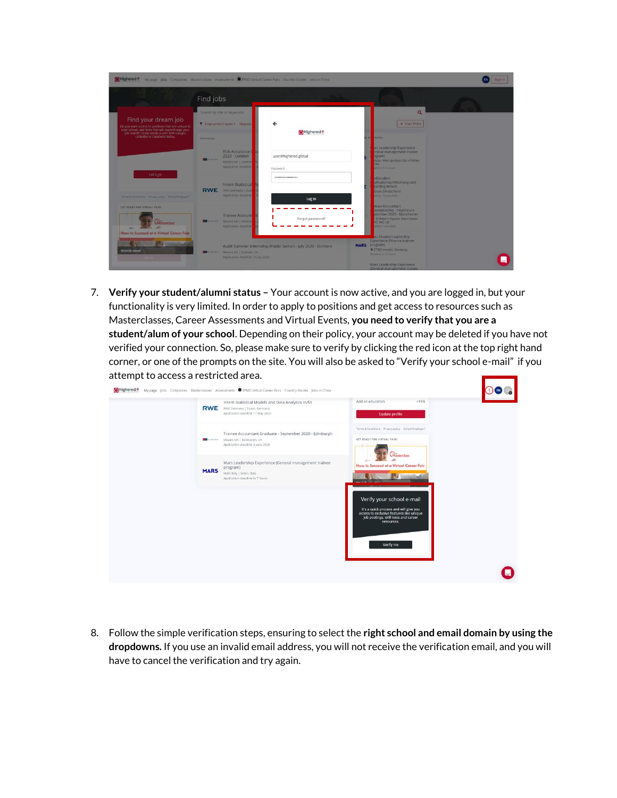| Highered <sup>®</sup>                                                                                                                                                           | My page Jobs Companies Masterclasses Assessments CEFMD Virtual Career Fairs Country Guides Jobs in China |                                                              |                                                                                                                                        | Sign in |
|---------------------------------------------------------------------------------------------------------------------------------------------------------------------------------|----------------------------------------------------------------------------------------------------------|--------------------------------------------------------------|----------------------------------------------------------------------------------------------------------------------------------------|---------|
|                                                                                                                                                                                 | Find jobs                                                                                                |                                                              |                                                                                                                                        |         |
| Find your dream job<br>Do you want access to positions that are unique to<br>your school, and tests that will supercharge your<br>job search? Easily create a user with Google. | Search by title or keywords<br>T Employment types . Degrees                                              | $\leftarrow$<br><b>Mighered</b>                              | $\alpha$<br>x Clear filters                                                                                                            |         |
| Linkedin or Facebook today.                                                                                                                                                     | <b>POSITIONS</b><br><b>Risk Assurance G</b><br>2020 - London<br><b>USA HAZARE</b>                        | user@highered.global                                         | <b>TIONS</b><br>0.01<br>irs Leadership Experience<br>eneral management trainee<br>pgram)                                               |         |
| Let's go                                                                                                                                                                        | Mazars UK   London<br>Application deadline<br><b>Intern Statistical</b>                                  | Password<br>------------------                               | Milan, Metropolitan City of Milan,<br>taly<br>offering the 15 hours<br><i>erkstudent</i><br>plikationsentwicklung und<br>porting m/w/d |         |
| Terms & Conditions Privacy policy School/Employer?<br><b>GET READY FOR VIRTUAL FAIRS</b>                                                                                        | <b>RWE</b><br><b>RWE Germany   Esse</b><br>Application deadline                                          | Log in                                                       | Issen, Deutschland<br>(films) 15 Sund 2020<br>linee Accountant<br>prenticeship - Healthcare -                                          |         |
| <i><u><u>Visterdas</u></u></i><br>How to Succeed at a Virtual Career Fair                                                                                                       | <b>Trainee Account</b><br><b>BE HARANS</b> Mazarc UK   Edinbur<br>Application deadline                   | Forgot password?                                             | otember 2020 - Manchester<br>St Peter's Square, Manchester<br><b>M2 3AE UK</b><br>phoe il lune 2020<br>irs Finance Leadership          |         |
| I W<br>Watch now!                                                                                                                                                               | <b>MARKARY MEZZATS UK I Durham UK</b><br>Application deadline 13 July 2020                               | Audit Summer Internship (Public Sector) - July 2020 - Durham | <b>Experience (Finance trainee)</b><br><b>MARS</b> program)<br>9 27283 Verden, Germany<br>Deadline: in 15 hours                        |         |
|                                                                                                                                                                                 |                                                                                                          |                                                              | Mars Leadership Experience<br>(General management trainee)                                                                             |         |

7. **Verify your student/alumni status –** Your account is now active, and you are logged in, but your functionality is very limited. In order to apply to positions and get access to resources such as Masterclasses, Career Assessments and Virtual Events, **you need to verify that you are a student/alum of your school**. Depending on their policy, your account may be deleted if you have not verified your connection. So, please make sure to verify by clicking the red icon at the top right hand corner, or one of the prompts on the site. You will also be asked to "Verify your school e-mail" if you attempt to access a restricted area. and the second second second second second second second second second second second second second second second second second second second second second second second second second second second second second second seco

| <b>RWE</b>  | Intern Statistical Models and Data Analytics m/f/t<br>RWE Germany   Essen, Germany<br>Application deadline 11 May 2020             | Add an education<br>$+15%$<br><b>Update profile</b>                                                                                                                                |  |
|-------------|------------------------------------------------------------------------------------------------------------------------------------|------------------------------------------------------------------------------------------------------------------------------------------------------------------------------------|--|
|             | Trainee Accountant Graduate - September 2020 - Edinburgh<br>Mazars UK   Edinburgh, UK<br>Application deadline 4 June 2020          | Terms & Conditions Privacy policy School/Employer?<br>GET READY FOR VIRTUAL FAIRS                                                                                                  |  |
| <b>MARS</b> | Mars Leadership Experience (General management trainee<br>program)<br>Mars Italy   Milan, Italy<br>Application deadline in 7 hours | Masterclass<br>How to Succeed at a Virtual Career Fair                                                                                                                             |  |
|             |                                                                                                                                    | Verify your school e-mail<br>It's a quick process and will give you<br>access to exclusive features like unique<br>job postings, skill tests and career<br>resources.<br>Verify me |  |
|             |                                                                                                                                    |                                                                                                                                                                                    |  |

8. Follow the simple verification steps, ensuring to select the **right school and email domain by using the dropdowns.** If you use an invalid email address, you will not receive the verification email, and you will have to cancel the verification and try again.